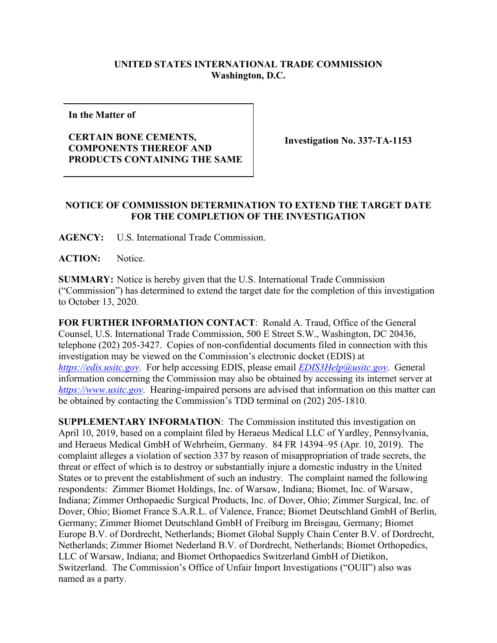## **UNITED STATES INTERNATIONAL TRADE COMMISSION Washington, D.C.**

**In the Matter of**

## **CERTAIN BONE CEMENTS, COMPONENTS THEREOF AND PRODUCTS CONTAINING THE SAME**

**Investigation No. 337-TA-1153**

## **NOTICE OF COMMISSION DETERMINATION TO EXTEND THE TARGET DATE FOR THE COMPLETION OF THE INVESTIGATION**

**AGENCY:** U.S. International Trade Commission.

ACTION: Notice.

**SUMMARY:** Notice is hereby given that the U.S. International Trade Commission ("Commission") has determined to extend the target date for the completion of this investigation to October 13, 2020.

**FOR FURTHER INFORMATION CONTACT**: Ronald A. Traud, Office of the General Counsel, U.S. International Trade Commission, 500 E Street S.W., Washington, DC 20436, telephone (202) 205-3427. Copies of non-confidential documents filed in connection with this investigation may be viewed on the Commission's electronic docket (EDIS) at *[https://edis.usitc.gov](https://edis.usitc.gov/)*. For help accessing EDIS, please email *EDIS3Help@usitc.gov*. General information concerning the Commission may also be obtained by accessing its internet server at *[https://www.usitc.gov](https://www.usitc.gov/)*. Hearing-impaired persons are advised that information on this matter can be obtained by contacting the Commission's TDD terminal on (202) 205-1810.

**SUPPLEMENTARY INFORMATION**: The Commission instituted this investigation on April 10, 2019, based on a complaint filed by Heraeus Medical LLC of Yardley, Pennsylvania, and Heraeus Medical GmbH of Wehrheim, Germany. 84 FR 14394–95 (Apr. 10, 2019). The complaint alleges a violation of section 337 by reason of misappropriation of trade secrets, the threat or effect of which is to destroy or substantially injure a domestic industry in the United States or to prevent the establishment of such an industry. The complaint named the following respondents: Zimmer Biomet Holdings, Inc. of Warsaw, Indiana; Biomet, Inc. of Warsaw, Indiana; Zimmer Orthopaedic Surgical Products, Inc. of Dover, Ohio; Zimmer Surgical, Inc. of Dover, Ohio; Biomet France S.A.R.L. of Valence, France; Biomet Deutschland GmbH of Berlin, Germany; Zimmer Biomet Deutschland GmbH of Freiburg im Breisgau, Germany; Biomet Europe B.V. of Dordrecht, Netherlands; Biomet Global Supply Chain Center B.V. of Dordrecht, Netherlands; Zimmer Biomet Nederland B.V. of Dordrecht, Netherlands; Biomet Orthopedics, LLC of Warsaw, Indiana; and Biomet Orthopaedics Switzerland GmbH of Dietikon, Switzerland. The Commission's Office of Unfair Import Investigations ("OUII") also was named as a party.